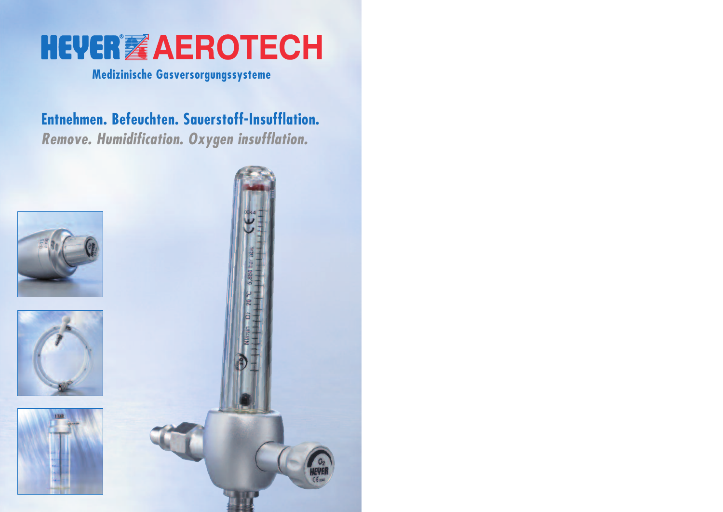

### **Medizinische Gasversorgungssysteme**

## **Entnehmen. Befeuchten. Sauerstoff-Insufflation.** *Remove. Humidification. Oxygen insufflation.*







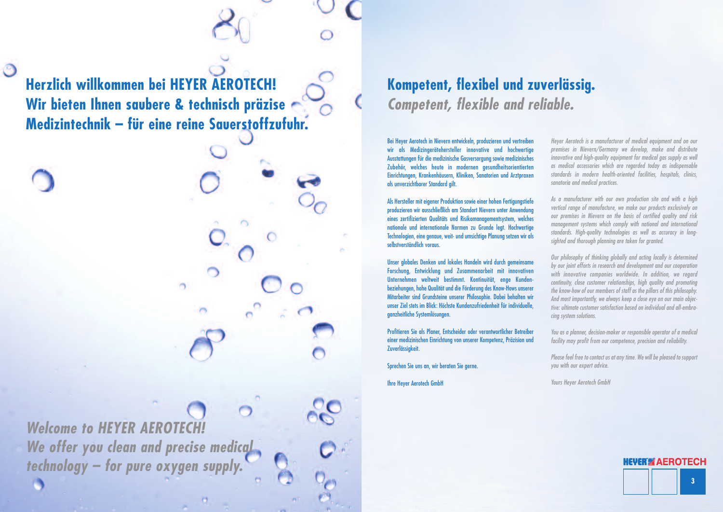**Herzlich willkommen bei HEYER AEROTECH! Wir bieten Ihnen saubere & technisch präzise Medizintechnik – für eine reine Sauerstoffzufuhr.**

 $\circledcirc$ 

*Welcome to HEYER AEROTECH! We offer you clean and precise medical technology – for pure oxygen supply.*

### **Kompetent, flexibel und zuverlässig.** *Competent, flexible and reliable.*

Bei Heyer Aerotech in Nievern entwickeln, produzieren und vertreiben wir als Medizingerätehersteller innovative und hochwertige Ausstattungen für die medizinische Gasversorgung sowie medizinisches Zubehör, welches heute in modernen gesundheitsorientierten Einrichtungen, Krankenhäusern, Kliniken, Sanatorien und Arztpraxen als unverzichtbarer Standard gilt.

Als Hersteller mit eigener Produktion sowie einer hohen Fertigungstiefe produzieren wir ausschließlich am Standort Nievern unter Anwendung eines zertifizierten Qualitäts und Risikomanagementsystem, welches nationale und internationale Normen zu Grunde legt. Hochwertige Technologien, eine genaue, weit- und umsichtige Planung setzen wir als selbstverständlich voraus.

Unser globales Denken und lokales Handeln wird durch gemeinsame Forschung, Entwicklung und Zusammenarbeit mit innovativen Unternehmen weltweit bestimmt. Kontinuität, enge Kundenbeziehungen, hohe Qualität und die Förderung des Know-Hows unserer Mitarbeiter sind Grundsteine unserer Philosophie. Dabei behalten wir unser Ziel stets im Blick: Höchste Kundenzufriedenheit für individuelle, ganzheitliche Systemlösungen.

Profitieren Sie als Planer, Entscheider oder verantwortlicher Betreiber einer medizinischen Einrichtung von unserer Kompetenz, Präzision und Zuverlässigkeit.

Sprechen Sie uns an, wir beraten Sie gerne.

Ihre Heyer Aerotech GmbH

*Heyer Aerotech is a manufacturer of medical equipment and on our premises in Nievern/Germany we develop, make and distribute innovative and high-quality equipment for medical gas supply as well as medical accessories which are regarded today as indispensable standards in modern health-oriented facilities, hospitals, clinics, sanatoria and medical practices.*

*As a manufacturer with our own production site and with a high vertical range of manufacture, we make our products exclusively on our premises in Nievern on the basis of certified quality and risk management systems which comply with national and international standards. High-quality technologies as well as accuracy in longsighted and thorough planning are taken for granted.*

*Our philosophy of thinking globally and acting locally is determined by our joint efforts in research and development and our cooperation with innovative companies worldwide. In addition, we regard continuity, close customer relationships, high quality and promoting the know-how of our members of staff as the pillars of this philosophy. And most importantly, we always keep a close eye on our main objective: ultimate customer satisfaction based on individual and all-embracing system solutions.*

*You as a planner, decision-maker or responsible operator of a medical facility may profit from our competence, precision and reliability.*

*Please feel free to contactus at any time. We will be pleased to support you with our expert advice.*

*Yours Heyer Aerotech GmbH*

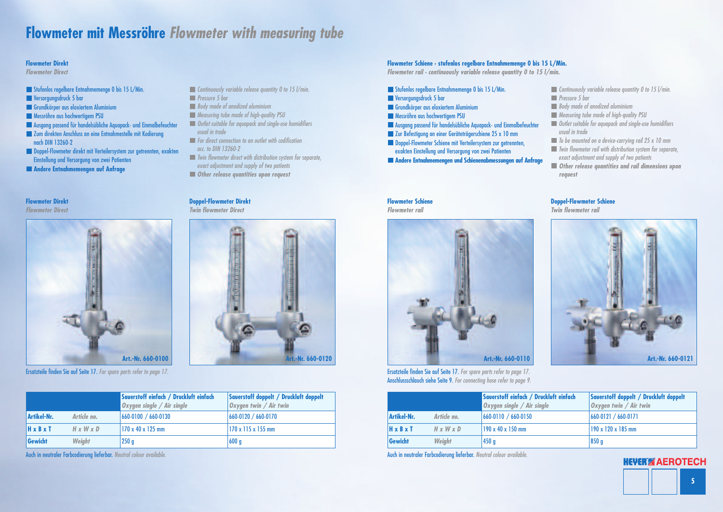**5**

**IEVERIZ AEROTECH** 

### **Flowmeter mit Messröhre** *Flowmeter with measuring tube*

- **Stufenlos regelbare Entnahmemenge 0 bis 15 L/Min.**
- **Versorgungsdruck 5 bar**
- Grundkörper aus eloxiertem Aluminium
- **Messröhre aus hochwertigem PSU**
- Ausgang passend für handelsübliche Aquapack- und Einmalbefeuchter
- Zum direkten Anschluss an eine Entnahmestelle mit Kodierung nach DIN 13260-2
- Doppel-Flowmeter direkt mit Verteilersystem zur getrennten, exakten Einstellung und Versorgung von zwei Patienten
- **Andere Entnahmemengen auf Anfrage**
- *Continuously variable release quantity 0 to 15 l/min.*
- *Pressure 5 bar*
- *Body made of anodized aluminium*
- *Measuring tube made of high-quality PSU*
- *Outlet suitable for aquapack and single-use humidifiers usual in trade*
- *For direct connection to an outlet with codification acc. to DIN 13260-2*
- *Twin flowmeter direct with distribution system for separate, exact adjustment and supply of two patients*
- *Other release quantities upon request*

#### **Flowmeter Direkt**

*Flowmeter Direct*

#### **Doppel-Flowmeter Direkt**

*Twin flowmeter Direct*



|                       |                       | Saverstoff einfach / Druckluft einfach<br>Oxygen single / Air single | Saverstoff doppelt / Druckluft doppelt<br>$\alpha$ ygen twin / Air twin |
|-----------------------|-----------------------|----------------------------------------------------------------------|-------------------------------------------------------------------------|
| Artikel-Nr.           | Article no.           | $ 660-0100 /660-0130 $                                               | $ 660-0120 /660-0170 $                                                  |
| $H \times B \times T$ | $H \times W \times D$ | 170 x 40 x 125 mm                                                    | 170 x 115 x 155 mm                                                      |
| Gewicht               | Weight                | 250 <sub>g</sub>                                                     | 600 g                                                                   |

#### **Flowmeter Direkt**

*Flowmeter Direct*

- Stufenlos regelbare Entnahmemenge 0 bis 15 L/Min.
- **Versorgungsdruck 5 bar**
- Grundkörper aus eloxiertem Aluminium
- **Messröhre aus hochwertigem PSU**
- Ausgang passend für handelsübliche Aquapack- und Einmalbefeuchter
- **Zur Befestigung an einer Geräteträgerschiene 25 x 10 mm**
- Doppel-Flowmeter Schiene mit Verteilersystem zur getrennten, exakten Einstellung und Versorgung von zwei Patienten
- **Andere Entnahmemengen und Schienenabmessungen auf Anfrage**

*Continuously variable release quantity 0 to 15 l/min. Pressure 5 bar Body made of anodized aluminium Measuring tube made of high-quality PSU Outlet suitable for aquapack and single-use humidifiers usual in trade To be mounted on a device-carrying rail 25 x 10 mm Twin flowmeter rail with distribution system for separate, exact adjustment and supply of two patients Other release quantities and rail dimensions upon request*

#### **Flowmeter Schiene**

*Flowmeter rail*



#### **Doppel-Flowmeter Schiene**

*Twin flowmeter rail*



|                       |                       | Saverstoff einfach / Druckluft einfach<br><b>Oxygen single / Air single</b> | Saverstoff doppelt / Druckluft doppelt<br>Oxygen twin / Air twin |
|-----------------------|-----------------------|-----------------------------------------------------------------------------|------------------------------------------------------------------|
| Artikel-Nr.           | Article no.           | $ 660-0110 /660-0150 $                                                      | $ 660-0121 /660-0171$                                            |
| $H \times B \times T$ | $H \times W \times D$ | 190 x 40 x 150 mm                                                           | 190 x 120 x 185 mm                                               |
| Gewicht               | <b>Weight</b>         | 450q                                                                        | 850 g                                                            |

#### **Flowmeter Schiene · stufenlos regelbare Entnahmemenge 0 bis 15 L/Min.**

*Flowmeter rail · continuously variable release quantity 0 to 15 l/min.*



Ersatzteile finden Sie auf Seite 17. *For spare parts refer to page 17.*

Auch in neutraler Farbcodierung lieferbar. *Neutral colour available.*

Ersatzteile finden Sie auf Seite 17. *For spare parts refer to page 17.* Anschlussschlauch siehe Seite 9. *For connecting hose refer to page 9.*

Auch in neutraler Farbcodierung lieferbar. *Neutral colour available.*

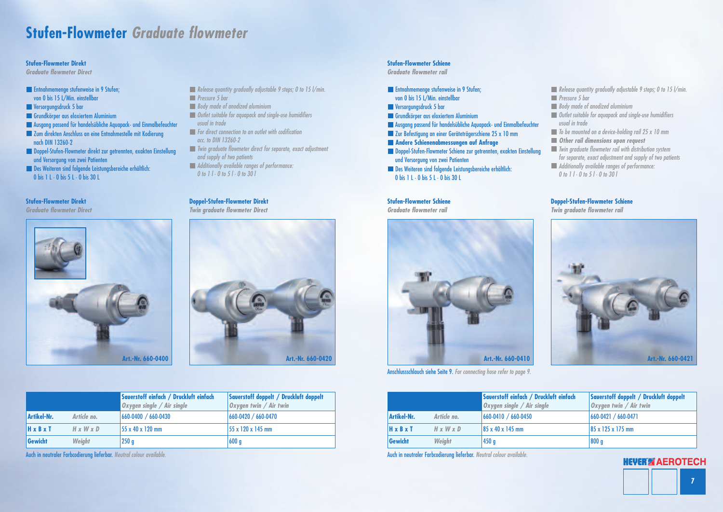### **Stufen-Flowmeter** *Graduate flowmeter*

- **Entnahmemenge stufenweise in 9 Stufen;** von 0 bis 15 L/Min. einstellbar
- **Versorgungsdruck 5 bar**
- Grundkörper aus eloxiertem Aluminium
- Ausgang passend für handelsübliche Aquapack- und Einmalbefeuchter
- Zum direkten Anschluss an eine Entnahmestelle mit Kodierung nach DIN 13260-2
- Doppel-Stufen-Flowmeter direkt zur getrennten, exakten Einstellung und Versorgung von zwei Patienten
- Des Weiteren sind folgende Leistungsbereiche erhältlich: 0 bis 1 L · 0 bis 5 L · 0 bis 30 L
- *Release quantity gradually adjustable 9 steps; 0 to 15 l/min. Pressure 5 bar*
- *Body made of anodized aluminium*
- *Outlet suitable for aquapack and single-use humidifiers usual in trade*
- *For direct connection to an outlet with codification acc. to DIN 13260-2*
- *Twin graduate flowmeter direct for separate, exact adjustment and supply of two patients*
- *Additionally available ranges of performance: 0 to 1 l · 0 to 5 l · 0 to 30 l*

#### **Stufen-Flowmeter Direkt**

- **Entimahmemenge stufenweise in 9 Stufen;** von 0 bis 15 L/Min. einstellbar
- **Versorgungsdruck 5 bar**
- **Grundkörper aus eloxiertem Aluminium**
- Ausgang passend für handelsübliche Aquapack- und Einmalbefeuchter
- **Zur Befestigung an einer Geräteträgerschiene 25 x 10 mm**
- **Andere Schienenabmessungen auf Anfrage**
- Doppel-Stufen-Flowmeter Schiene zur getrennten, exakten Einstellung und Versorgung von zwei Patienten
- Des Weiteren sind folgende Leistungsbereiche erhältlich: 0 bis 1 L · 0 bis 5 L · 0 bis 30 L

*Graduate flowmeter Direct*



#### **Doppel-Stufen-Flowmeter Direkt**

*Twin graduate flowmeter Direct*



|              |                       | Saverstoff einfach / Druckluft einfach | Saverstoff doppelt / Druckluft doppelt |
|--------------|-----------------------|----------------------------------------|----------------------------------------|
|              |                       | Oxygen single / Air single             | $\alpha$ ygen twin / Air twin          |
| Artikel-Nr.  | Article no.           | $ 660-0400  / 660-0430$                | $ 660-0420 /660-0470 $                 |
| <b>HxBxT</b> | $H \times W \times D$ | 55 x 40 x 120 mm                       | 55 x 120 x 145 mm                      |
| Gewicht      | Weight                | 250 <sub>g</sub>                       | 600 g                                  |

#### **Stufen-Flowmeter Direkt**

*Graduate flowmeter Direct*

*Release quantity gradually adjustable 9 steps; 0 to 15 l/min. Pressure 5 bar Body made of anodized aluminium Outlet suitable for aquapack and single-use humidifiers usual in trade To be mounted on a device-holding rail 25 x 10 mm Other rail dimensions upon request Twin graduate flowmeter rail with distribution system for separate, exact adjustment and supply of two patients Additionally available ranges of performance: 0 to 1 l · 0 to 5 l · 0 to 30 l*

#### **Stufen-Flowmeter Schiene**

*Graduate flowmeter rail*

#### **Doppel-Stufen-Flowmeter Schiene**

*Twin graduate flowmeter rail*



|                       |                       | Saverstoff einfach / Druckluft einfach<br>Oxygen single / Air single | Saverstoff doppelt / Druckluft doppelt<br>Oxygen twin / Air twin |
|-----------------------|-----------------------|----------------------------------------------------------------------|------------------------------------------------------------------|
| Artikel-Nr.           | Article no.           | 660-0410 / 660-0450                                                  | $ 660-0421 /660-0471$                                            |
| $H \times B \times T$ | $H \times W \times D$ | $85 \times 40 \times 145$ mm                                         | $ 85 \times 125 \times 175$ mm                                   |
| Gewicht               | <b>Weight</b>         | 450 <sub>g</sub>                                                     | 800 g                                                            |

**Stufen-Flowmeter Schiene**

*Graduate flowmeter rail*

Auch in neutraler Farbcodierung lieferbar. *Neutral colour available.*



Anschlussschlauch siehe Seite 9. *For connecting hose refer to page 9.*

Auch in neutraler Farbcodierung lieferbar. *Neutral colour available.*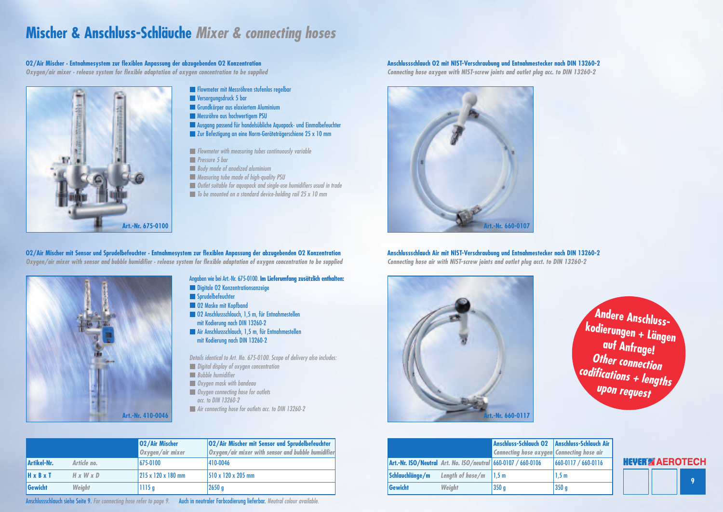

### **Mischer & Anschluss-Schläuche** *Mixer & connecting hoses*

- **Flowmeter mit Messröhren stufenlos regelbar**
- **Versorgungsdruck 5 bar**
- Grundkörper aus eloxiertem Aluminium
- **Messröhre aus hochwertigem PSU**
- Ausgang passend für handelsübliche Aquapack- und Einmalbefeuchter
- **Zur Befestigung an eine Norm-Geräteträgerschiene 25 x 10 mm**
- *Flowmeter with measuring tubes continuously variable*
- *Pressure 5 bar*
- *Body made of anodized aluminium*
- *Measuring tube made of high-quality PSU*
- *Outlet suitable for aquapack and single-use humidifiers usual in trade*
- *To be mounted on a standard device-holding rail 25 x 10 mm*

#### 02/Air Mischer mit Sensor und Sprudelbefeuchter · Entnahmesystem zur flexiblen Anpassung der abzugebenden 02 Konzentration Oxygen/air mixer with sensor and bubble humidifier · release system for flexible adaptation of oxygen concentration to be supplied

- **Digitale 02 Konzentrationsanzeige**
- Sprudelbefeuchter
- **C2 Maske mit Kopfband**
- O2 Anschlussschlauch, 1,5 m, für Entnahmestellen mit Kodierung nach DIN 13260-2
- **Air Anschlussschlauch, 1,5 m, für Entnahmestellen** mit Kodierung nach DIN 13260-2

**Art.-Nr. 675-0100**

#### Angaben wiebei Art.-Nr. 675-0100. **Im Lieferumfang zusätzlich enthalten:**

*Details identical to Art. No. 675-0100. Scope of delivery also includes:*

- *Digital display of oxygen concentration*
- *Bubble humidifier*
- *Oxygen mask with bandeau*
- *Oxygen connecting hose for outlets*
- *acc. to DIN 13260-2*
- *Air connecting hose for outlets acc. to DIN 13260-2*







|               |                       | 02/Air Mischer<br>Oxygen/air mixer | 02/Air Mischer mit Sensor und Sprudelbefeuchter<br>Oxygen/air mixer with sensor and bubble humidifier |
|---------------|-----------------------|------------------------------------|-------------------------------------------------------------------------------------------------------|
| Artikel-Nr.   | Article no.           | $ 675-0100 $                       | 410-0046                                                                                              |
| <b>H</b> xBxT | $H \times W \times D$ | $ 215 \times 120 \times 180$ mm    | 510 x 120 x 205 mm                                                                                    |
| Gewicht       | <b>Weight</b>         | 1115g                              | 2650 g                                                                                                |

| $\mathbf{z}$   | <b>Anschluss-Schlauch Air<br/>Connecting hose air</b> |
|----------------|-------------------------------------------------------|
| $\mathsf{len}$ |                                                       |
|                | 660-0117 / 660-0116                                   |
|                | 1,5m                                                  |
|                | 350 <sub>g</sub>                                      |

|                 |                                                               | Anschluss-Schlauch 02 Anschluss-Schlauch<br><b>Connecting hose oxygen Connecting hose air</b> |                     |
|-----------------|---------------------------------------------------------------|-----------------------------------------------------------------------------------------------|---------------------|
|                 | Art.-Nr. ISO/Neutral Art. No. ISO/neutral 660-0107 / 660-0106 |                                                                                               | 660-0117 / 660-0116 |
| Schlauchlänge/m | Length of hose/ $m$                                           | 1.5 m                                                                                         | 1,5m                |
| Gewicht         | <b>Weight</b>                                                 | 350 <sub>q</sub>                                                                              | 350 <sub>g</sub>    |

#### **O2/Air Mischer · Entnahmesystem zur flexiblen Anpassung der abzugebenden O2 Konzentration** *Oxygen/air mixer · release system for flexible adaptation of oxygen concentration to be supplied*

### **Anschlussschlauch Air mit NIST-Verschraubung und Entnahmestecker nach DIN 13260-2**

*Connecting hose air with NIST-screw joints and outlet plug acct. to DIN 13260-2*

#### **Anschlussschlauch O2 mit NIST-Verschraubung und Entnahmestecker nach DIN 13260-2**

*Connecting hose oxygen with NIST-screw joints and outlet plug acc. to DIN 13260-2*



Anschlussschlauch siehe Seite 9. *For connecting hose refer to page 9.* Auch in neutraler Farbcodierung lieferbar. *Neutral colour available.*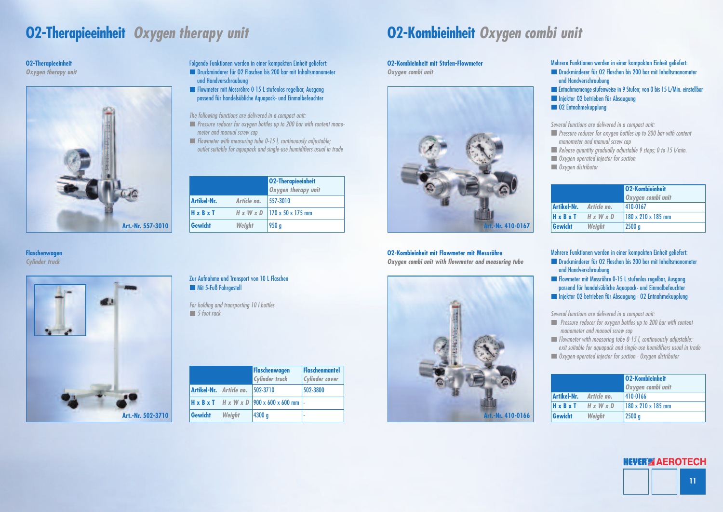

### **O2-Therapieeinheit** *Oxygen therapy unit* **O2-Kombieinheit** *Oxygen combi unit*

Folgende Funktionen werden in einer kompakten Einheit geliefert: Druckminderer für O2 Flaschen bis 200 bar mit Inhaltsmanometer

und Handverschraubung Flowmeter mit Messröhre 0-15 L stufenlos regelbar, Ausgang passend für handelsübliche Aquapack- und Einmalbefeuchter

#### Zur Aufnahme und Transport von 10 L Flaschen Mit 5-Fuß Fahrgestell

*The following functions are delivered in a compact unit:*

- *Pressure reducer for oxygen bottles up to 200 bar with content manometer and manual screw cap*
- *Flowmeter with measuring tube 0-15 l, continuously adjustable; outlet suitable for aquapack and single-use humidifiers usual in trade*
- Entnahmemenge stufenweise in 9 Stufen; von 0 bis 15 L/Min. einstellbar **Injektor O2 betrieben für Absaugung**
- **CO2** Entnahmekupplung

*For holding and transporting 10 l bottles 5-foot rack*





#### **O2-Therapieeinheit**

*Oxygen therapy unit*

#### **Flaschenwagen**

*Cylinder truck*

![](_page_5_Picture_19.jpeg)

#### **O2-Kombieinheit mit Flowmeter mit Messröhre**

*Oxygen combi unit with flowmeter and measuring tube*

|                    |               | <b>02-Therapieeinheit</b><br>Oxygen therapy unit |
|--------------------|---------------|--------------------------------------------------|
| <b>Artikel-Nr.</b> | Article no.   | 557-3010                                         |
| <b>H</b> xBxT      |               | $H \times W \times D$ 170 x 50 x 175 mm          |
| Gewicht            | <b>Weight</b> | 950g                                             |

Mehrere Funktionen werden in einer kompakten Einheit geliefert: Druckminderer für O2 Flaschen bis 200 bar mit Inhaltsmanometer und Handverschraubung

*Several functions are delivered in a compact unit:*

- *Pressure reducer for oxygen bottles up to 200 bar with content manometer and manual screw cap*
- *Release quantity gradually adjustable 9 steps; 0 to 15 l/min.*
- *Oxygen-operated injector for suction*
- *Oxygen distributor*

Mehrere Funktionen werden in einer kompakten Einheit geliefert: Druckminderer für O2 Flaschen bis 200 bar mit Inhaltsmanometer und Handverschraubung

Flowmeter mit Messröhre 0-15 L stufenlos regelbar, Ausgang passend für handelsübliche Aquapack- und Einmalbefeuchter Injektor O2 betrieben für Absaugung · O2 Entnahmekupplung

*Several functions are delivered in a compact unit:*

*Pressure reducer for oxygen bottles up to 200 bar with content manometer and manual screw cap*

*Flowmeter with measuring tube 0-15 l, continuously adjustable; exit suitable for aquapack and single-use humidifiers usual in trade Oxygen-operated injector for suction · Oxygen distributor*

![](_page_5_Picture_13.jpeg)

#### **O2-Kombieinheit mit Stufen-Flowmeter**

*Oxygen combi unit*

|                                             | <b>02-Kombieinheit</b><br>Oxygen combi unit |
|---------------------------------------------|---------------------------------------------|
| Artikel-Nr. Article no.                     | 410-0167                                    |
| $H \times B \times T$ $H \times W \times D$ | 180 x 210 x 185 mm                          |
| Gewicht<br><b>Weight</b>                    | 2500 g                                      |

|                                             | 02-Kombieinheit<br>Oxygen combi unit |
|---------------------------------------------|--------------------------------------|
| Artikel-Nr. Article no.                     | 410-0166                             |
| $H \times B \times T$ $H \times W \times D$ | 180 x 210 x 185 mm                   |
| Gewicht<br>Weight                           | 2500 g                               |

|                                |        | <b>Flaschenwagen</b><br><b>Cylinder truck</b>                     | Flaschenmantel<br><b>Cylinder cover</b> |
|--------------------------------|--------|-------------------------------------------------------------------|-----------------------------------------|
| <b>Artikel-Nr.</b> Article no. |        | $ 502-3710$                                                       | 502-3800                                |
|                                |        | $H \times B \times T$ $H \times W \times D$ 900 x 600 x 600 mm  - |                                         |
| Gewicht                        | Weight | 4300 g                                                            |                                         |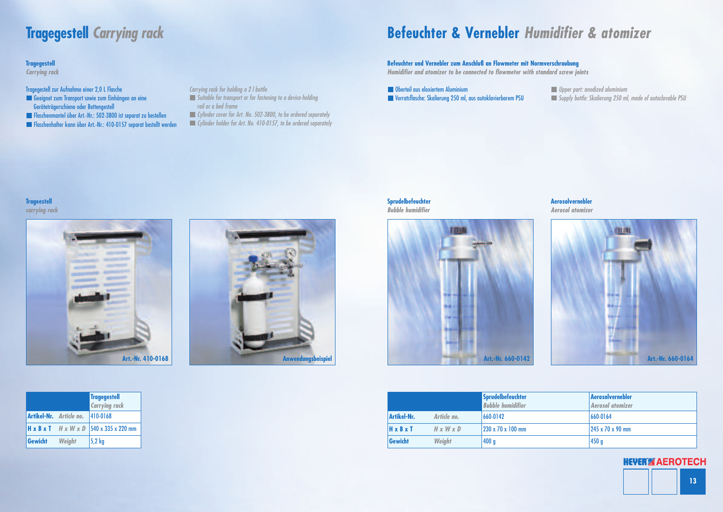![](_page_6_Picture_28.jpeg)

## **Befeuchter & Vernebler** *Humidifier & atomizer*

#### **Comparent ausers** eloxiertem Aluminium Vorratsflasche: Skalierung 250 ml, aus autoklavierbarem PSU

*Upper part: anodized aluminium Supply bottle: Skalierung 250 ml, made of autoclavable PSU*

- Geeignet zum Transport sowie zum Einhängen an eine Geräteträgerschiene oder Bettengestell
- Flaschenmantel über Art.-Nr.: 502-3800 ist separat zu bestellen
- Flaschenhalter kann über Art.-Nr.: 410-0157 separat bestellt werden

Tragegestell zur Aufnahme einer 2,0 L Flasche

*Carrying rack for holding a 2 l bottle*

- *Suitable for transport or for fastening to a device-holding rail or a bed frame*
- *Cylinder cover for Art. No. 502-3800, to be ordered separately*
- *Cylinder holder for Art. No. 410-0157, to be ordered separately*

#### **Sprudelbefeuchter** *Bubble humidifier*

#### **Trageestell**

*carrying rack*

![](_page_6_Picture_20.jpeg)

#### **Aerosolvernebler**

*Aerosol atomizer*

![](_page_6_Picture_27.jpeg)

![](_page_6_Picture_16.jpeg)

|                       |                       | <b>Sprudelbefeuchter</b><br><b>Bubble humidifier</b> | <b>Aerosolvernebler</b><br><b>Aerosol atomizer</b> |
|-----------------------|-----------------------|------------------------------------------------------|----------------------------------------------------|
| Artikel-Nr.           | Article no.           | $ 660-0142 $                                         | 660-0164                                           |
| $H \times B \times T$ | $H \times W \times D$ | 230 x 70 x 100 mm                                    | 245 x 70 x 90 mm                                   |
| <b>Gewicht</b>        | <b>Weight</b>         | 400 g                                                | 450 <sub>g</sub>                                   |

### **Befeuchter und Vernebler zum Anschluß an Flowmeter mit Normverschraubung**

*Humidifier and atomizer to be connected to flowmeter with standard screw joints*

### **Tragegestell** *Carrying rack*

|                |                                  | <b>Tragegestell</b><br><b>Carrying rack</b>                    |
|----------------|----------------------------------|----------------------------------------------------------------|
|                | Artikel-Nr. Article no. 410-0168 |                                                                |
|                |                                  | $H \times B \times T$ $H \times W \times D$ 540 x 335 x 220 mm |
| Gewicht Weight |                                  | $5,2$ kg                                                       |

![](_page_6_Picture_22.jpeg)

![](_page_6_Picture_23.jpeg)

#### **Tragegestell**

*Carrying rack*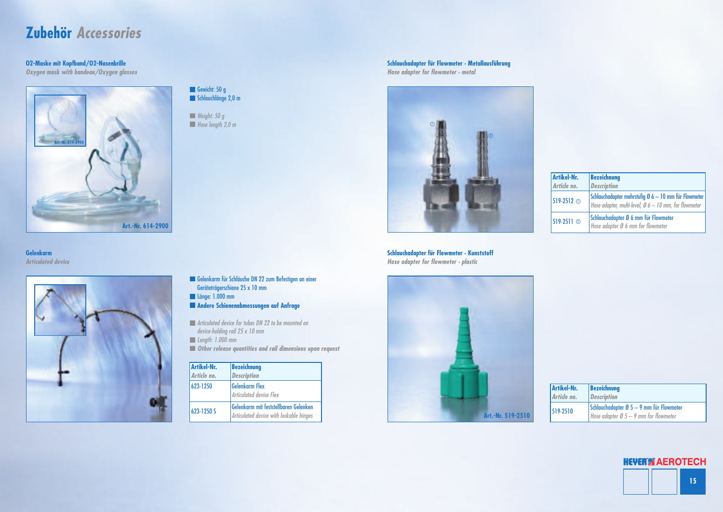![](_page_7_Figure_22.jpeg)

### **Zubehör** *Accessories*

*Weight: 50 g Hose length 2,0 m*

- Gelenkarm für Schläuche DN 22 zum Befestigen an einer Geräteträgerschiene 25 x 10 mm
- Länge: 1.000 mm
- **Andere Schienenabmessungen auf Anfrage**
- *Articulated device for tubes DN 22 to be mounted on device-holding rail 25 x 10 mm*
- *Length: 1.000 mm*
- *Other release quantities and rail dimensions upon request*

#### **O2-Maske mit Kopfband/O2-Nasenbrille**

*Oxygen mask with bandeau/Oxygen glasses*

![](_page_7_Picture_10.jpeg)

**Schlauchadapter für Flowmeter · Kunststoff** *Hose adapter for flowmeter · plastic*

### **Schlauchadapter für Flowmeter · Metallausführung**

*Hose adapter for flowmeter · metal*

![](_page_7_Picture_3.jpeg)

Gewicht: 50 g Schlauchlänge 2,0 m

| <b>Artikel-Nr.</b><br>Article no. | <b>Bezeichnung</b><br><b>Description</b>                                                                                |
|-----------------------------------|-------------------------------------------------------------------------------------------------------------------------|
| $1519-2512$ $\odot$               | Schlauchadapter mehrstufig Ø 6 - 10 mm für Flowmeter<br>Hose adapter, multi-level, $\emptyset$ 6 – 10 mm, for flowmeter |
| $519-2511$ $\circ$                | Schlauchadapter Ø 6 mm für Flowmeter<br>Hose adapter Ø 6 mm for flowmeter                                               |

| Artikel-Nr. | <b>Bezeichnung</b>                                                                          |
|-------------|---------------------------------------------------------------------------------------------|
| Article no. | <i><b>Description</b></i>                                                                   |
| 519-2510    | Schlauchadapter Ø 5 - 9 mm für Flowmeter<br>Hose adapter $\emptyset$ 5 – 9 mm for flowmeter |

![](_page_7_Picture_8.jpeg)

#### **Gelenkarm** *Articulated device*

| <b>Artikel-Nr.</b><br>Article no. | <b>Bezeichnung</b><br><b>Description</b>                                         |
|-----------------------------------|----------------------------------------------------------------------------------|
| 623-1250                          | <b>Gelenkarm Flex</b><br><b>Articulated device Flex</b>                          |
| 623-1250 S                        | Gelenkarm mit feststellbaren Gelenken<br>Articulated device with lockable hinges |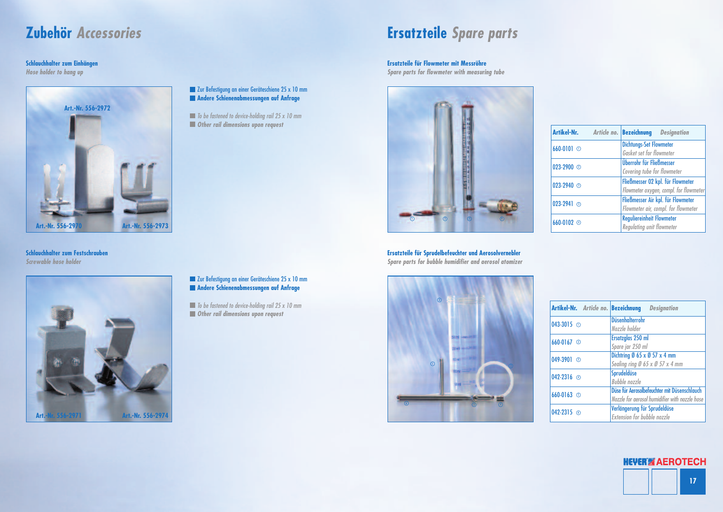![](_page_8_Figure_18.jpeg)

### **Zubehör** *Accessories*

![](_page_8_Picture_3.jpeg)

**Schlauchhalter zum Festschrauben** *Screwable hose holder*

#### **Zur Befestigung an einer Geräteschiene 25 x 10 mm Andere Schienenabmessungen auf Anfrage**

#### **Schlauchhalter zum Einhängen**

*Hose holder to hang up*

#### **Zur Befestigung an einer Geräteschiene 25 x 10 mm Andere Schienenabmessungen auf Anfrage**

![](_page_8_Picture_5.jpeg)

*To be fastened to device-holding rail 25 x 10 mm Other rail dimensions upon request*

*To be fastened to device-holding rail 25 x 10 mm Other rail dimensions upon request*

## **Ersatzteile** *Spare parts*

**Ersatzteile für Sprudelbefeuchter und Aerosolvernebler** *Spare parts for bubble humidifier and aerosol atomizer*

#### **Ersatzteile für Flowmeter mit Messröhre**

*Spare parts for flowmeter with measuring tube*

|                         | Artikel-Nr. Article no. Bezeichnung Designation                             |
|-------------------------|-----------------------------------------------------------------------------|
| $660-0101$ <sup>O</sup> | <b>Dichtungs-Set Flowmeter</b><br>Gasket set for flowmeter                  |
| 023-2900 $\circledcirc$ | Überrohr für Fließmesser<br>Covering tube for flowmeter                     |
| 023-2940 $\circledcirc$ | Fließmesser 02 kpl. für Flowmeter<br>Flowmeter oxygen, compl. for flowmeter |
| $023-2941$ <sup>o</sup> | Fließmesser Air kpl. für Flowmeter<br>Flowmeter air, compl. for flowmeter   |
| 660-0102 <sup>①</sup>   | <b>Reguliereinheit Flowmeter</b><br>Regulating unit flowmeter               |

|                         | <b>Artikel-Nr.</b> Article no. Bezeichnung Designation |
|-------------------------|--------------------------------------------------------|
| 043-3015 $\odot$        | <b>Düsenhalterrohr</b>                                 |
|                         | Nozzle holder                                          |
| $660-0167$ <sup>①</sup> | Ersatzglas 250 ml                                      |
|                         | Spare jar 250 ml                                       |
| 049-3901 3              | Dichtring Ø 65 x Ø 57 x 4 mm                           |
|                         | Sealing ring $\emptyset$ 65 x $\emptyset$ 57 x 4 mm    |
| 042-2316 $\circ$        | Sprudeldüse                                            |
|                         | <b>Bubble</b> nozzle                                   |
| 660-0163 ©              | Düse für Aerosolbefeuchter mit Düsenschlauch           |
|                         | Nozzle for aerosol humidifier with nozzle hose         |
| 042-2315 ©              | Verlängerung für Sprudeldüse                           |
|                         | <b>Extension for bubble nozzle</b>                     |

![](_page_8_Picture_13.jpeg)

![](_page_8_Picture_15.jpeg)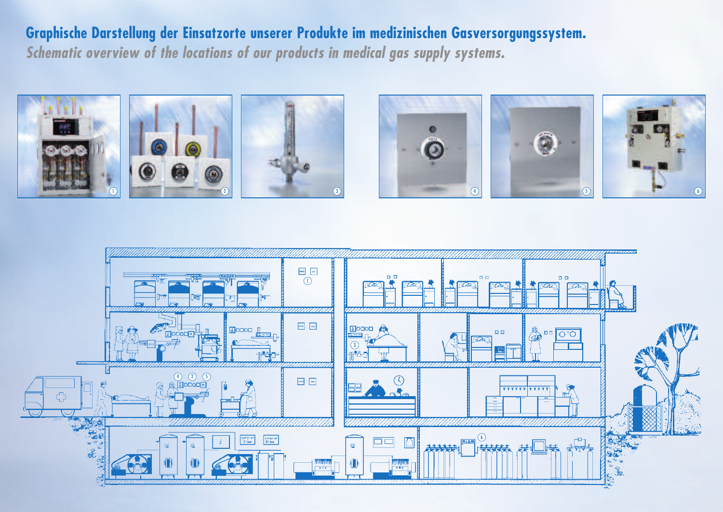**Graphische Darstellung der Einsatzorte unserer Produkte im medizinischen Gasversorgungssystem.** *Schematic overview of the locations of our products in medical gas supply systems.*

![](_page_9_Figure_2.jpeg)

![](_page_9_Picture_1.jpeg)